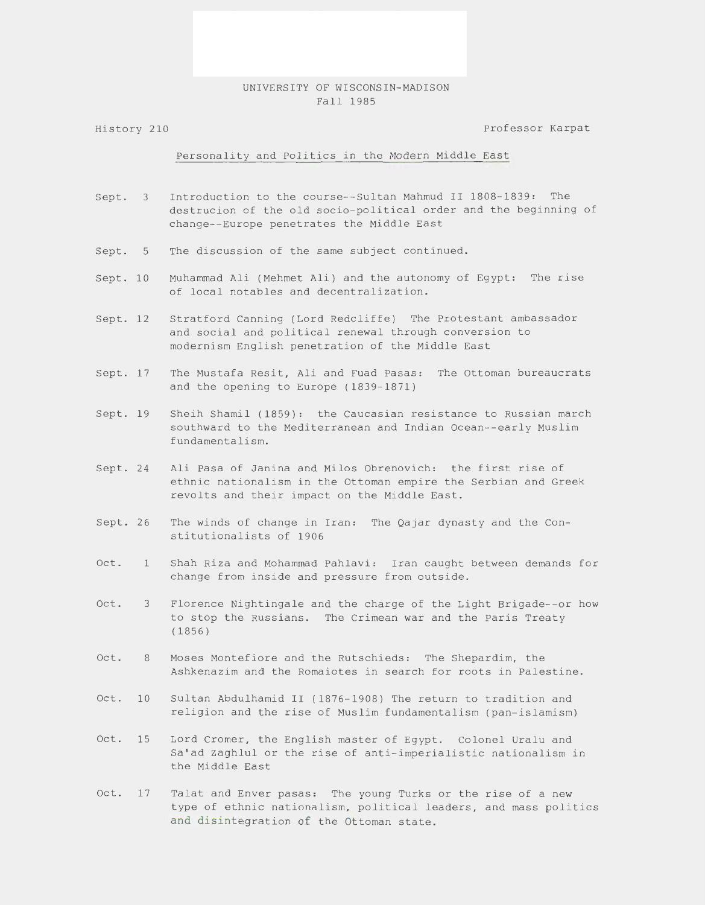## UNIVERSITY OF WISCONSIN-MADISON Fall 1985

History 210

Professor Karpat

## Personality and Politics in the Modern Middle East

- Sept. 3 Introduction to the course--Sultan Mahmud II 1808-1839: The destrucion of the old socio-political order and the beginning of change--Europe penetrates the Middle East
- Sept. 5 The discussion of the same subject continued.
- Sept. 10 Muhammad Ali (Mehmet Ali) and the autonomy of Egypt: The rise of local notables and decentralization.
- Sept. 12 Stratford Canning (Lord Redcliffe) The Protestant ambassador and social and political renewal through conversion to modernism English penetration of the Middle East
- Sept. 17 The Mustafa Resit, Ali and Fuad Pasas: The Ottoman bureaucrats and the opening to Europe (1839-1871)
- Sept. 19 Sheih Shamil (1859): the Caucasian resistance to Russian march southward to the Mediterranean and Indian Ocean--early Muslim fundamentalism.
- Sept. 24 Ali Pasa of Janina and Milos Obrenovich: the first rise of ethnic nationalism in the Ottoman empire the Serbian and Greek revolts and their impact on the Middle East.
- Sept. 26 The winds of change in Iran: The Qajar dynasty and the Constitutionalists of 1906
- Oct. Shah Riza and Mohammad Pahlavi: Iran caught between demands for change from inside and pressure from outside.
- Oct. 3 Florence Nightingale and the charge of the Light Brigade--or how to stop the Russians. The Crimean war and the Paris Treaty (1856)
- Oct. 8 Moses Montefiore and the Rutschieds: The Shepardim, the Ashkenazim and the Romaiotes in search for roots in Palestine.
- Oct. 10 Sultan Abdulhamid II (1876-1908) The return to tradition and religion and the rise of Muslim fundamentalism (pan-islamism)
- Oct. 15 Lord Cromer, the English master of Egypt. Colonel Uralu and Sa'ad Zaghlul or the rise of anti- imperialistic nationalism in the Middle East
- Oct. 17 Talat and Enver pasas: The young Turks or the rise of a new type of ethnic nationalism, political leaders, and mass politics and disintegration of the Ottoman state.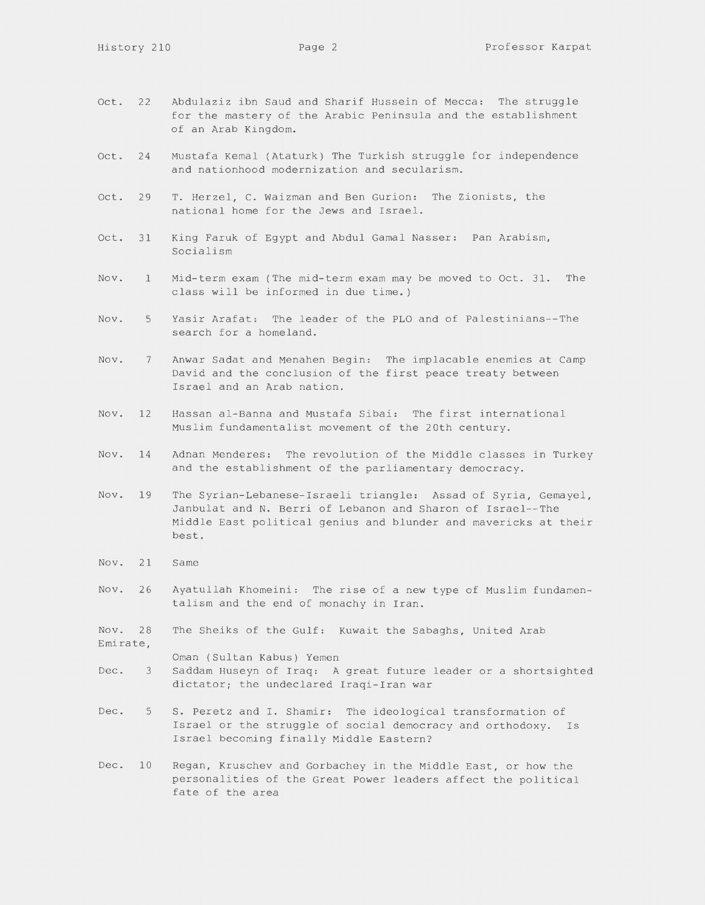- Oct. 22 Abdulaziz ibn Saud and Sharif Hussein of Mecca: The struggle for the mastery of the Arabic Peninsula and the establishment of an Arab Kingdom.
- Oct. 24 Mustafa Kemal (Ataturk) The Turkish struggle for independence and nationhood modernization and secularism.
- Oct. 29 T. Herzel, C. Waizman and Ben Gurion: The Zionists, the national home for the Jews and Israel.
- Oct. 31 King Faruk of Egypt and Abdul Gamal Nasser: Pan Arabism, Socialism
- Nov. 1 Mid-term exam (The mid-term exam may be moved to Oct. 31. The class will be informed in due time. )
- Nov. Yasir Arafat: The leader of the PLO and of Palestinians--The search for a homeland.
- Nov. 7 Anwar Sadat and Menahen Begin: The implacable enemies at Camp David and the conclusion of the first peace treaty between Israel and an Arab nation.
- Nov. 12 Hassan al-Banna and Mustafa Sibai: The first international Muslim fundamentalist movement of the 20th century.
- Nov. 14 Adnan Menderes: The revolution of the Middle classes in Turkey and the establishment of the parliamentary democracy.
- Nov. 19 The Syrian-Lebanese-Israeli triangle: Assad of Syria, Gemayel, Janbulat and N. Berri of Lebanon and Sharon of Israel--The Middle East political genius and blunder and mavericks at their best.
- Nov. 21 Same
- Nov. 26 Ayatullah Khomeini: The rise of a new type of Muslim fundamentalism and the end of monachy in Iran.
- Nov. 28 Emirate, The Sheiks of the Gulf: Kuwait the Sabaghs, United Arab
- Dec. 3 Oman (Sultan Kabus) Yemen Saddam Huseyn of Iraq: A great future leader or a shortsighted dictator; the undeclared Iraqi-Iran war
- Dec. 5 S. Peretz and I. Shamir: The ideological transformation of Israel or the struggle of social democracy and orthodoxy. Is Israel becoming finally Middle Eastern?
- Dec. 10 Regan, Kruschev and Gorbachey in the Middle East, or how the personalities of the Great Power leaders affect the political fate of the area